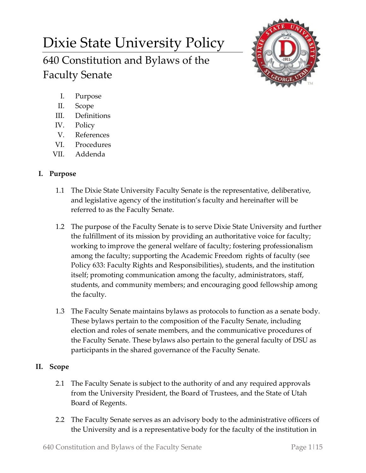# Dixie State University Policy

640 Constitution and Bylaws of the Faculty Senate



- I. Purpose
- II. Scope
- III. Definitions
- IV. Policy
- V. References
- VI. Procedures
- VII. Addenda

# **I. Purpose**

- 1.1 The Dixie State University Faculty Senate is the representative, deliberative, and legislative agency of the institution's faculty and hereinafter will be referred to as the Faculty Senate.
- 1.2 The purpose of the Faculty Senate is to serve Dixie State University and further the fulfillment of its mission by providing an authoritative voice for faculty; working to improve the general welfare of faculty; fostering professionalism among the faculty; supporting the Academic Freedom rights of faculty (see Policy 633: Faculty Rights and Responsibilities), students, and the institution itself; promoting communication among the faculty, administrators, staff, students, and community members; and encouraging good fellowship among the faculty.
- 1.3 The Faculty Senate maintains bylaws as protocols to function as a senate body. These bylaws pertain to the composition of the Faculty Senate, including election and roles of senate members, and the communicative procedures of the Faculty Senate. These bylaws also pertain to the general faculty of DSU as participants in the shared governance of the Faculty Senate.

# **II. Scope**

- 2.1 The Faculty Senate is subject to the authority of and any required approvals from the University President, the Board of Trustees, and the State of Utah Board of Regents.
- 2.2 The Faculty Senate serves as an advisory body to the administrative officers of the University and is a representative body for the faculty of the institution in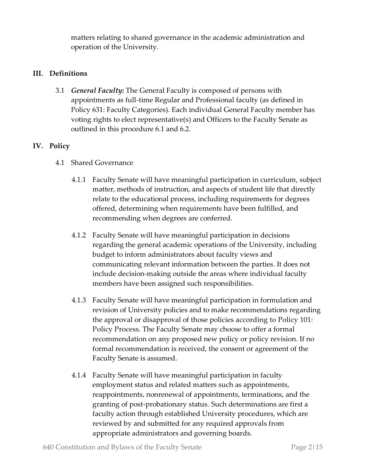matters relating to shared governance in the academic administration and operation of the University.

## **III. Definitions**

3.1 *General Faculty***:** The General Faculty is composed of persons with appointments as full-time Regular and Professional faculty (as defined in Policy 631: Faculty Categories). Each individual General Faculty member has voting rights to elect representative(s) and Officers to the Faculty Senate as outlined in this procedure 6.1 and 6.2.

## **IV. Policy**

- 4.1 Shared Governance
	- 4.1.1 Faculty Senate will have meaningful participation in curriculum, subject matter, methods of instruction, and aspects of student life that directly relate to the educational process, including requirements for degrees offered, determining when requirements have been fulfilled, and recommending when degrees are conferred.
	- 4.1.2 Faculty Senate will have meaningful participation in decisions regarding the general academic operations of the University, including budget to inform administrators about faculty views and communicating relevant information between the parties. It does not include decision-making outside the areas where individual faculty members have been assigned such responsibilities.
	- 4.1.3 Faculty Senate will have meaningful participation in formulation and revision of University policies and to make recommendations regarding the approval or disapproval of those policies according to Policy 101: Policy Process. The Faculty Senate may choose to offer a formal recommendation on any proposed new policy or policy revision. If no formal recommendation is received, the consent or agreement of the Faculty Senate is assumed.
	- 4.1.4 Faculty Senate will have meaningful participation in faculty employment status and related matters such as appointments, reappointments, nonrenewal of appointments, terminations, and the granting of post-probationary status. Such determinations are first a faculty action through established University procedures, which are reviewed by and submitted for any required approvals from appropriate administrators and governing boards.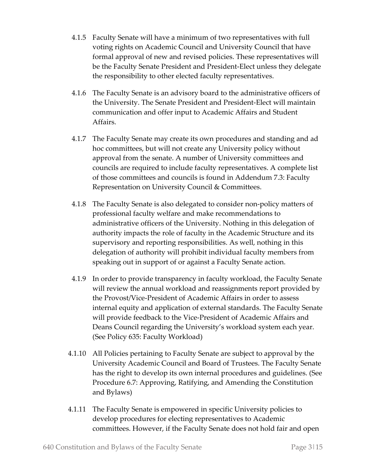- 4.1.5 Faculty Senate will have a minimum of two representatives with full voting rights on Academic Council and University Council that have formal approval of new and revised policies. These representatives will be the Faculty Senate President and President-Elect unless they delegate the responsibility to other elected faculty representatives.
- 4.1.6 The Faculty Senate is an advisory board to the administrative officers of the University. The Senate President and President-Elect will maintain communication and offer input to Academic Affairs and Student Affairs.
- 4.1.7 The Faculty Senate may create its own procedures and standing and ad hoc committees, but will not create any University policy without approval from the senate. A number of University committees and councils are required to include faculty representatives. A complete list of those committees and councils is found in Addendum 7.3: Faculty Representation on University Council & Committees.
- 4.1.8 The Faculty Senate is also delegated to consider non-policy matters of professional faculty welfare and make recommendations to administrative officers of the University. Nothing in this delegation of authority impacts the role of faculty in the Academic Structure and its supervisory and reporting responsibilities. As well, nothing in this delegation of authority will prohibit individual faculty members from speaking out in support of or against a Faculty Senate action.
- 4.1.9 In order to provide transparency in faculty workload, the Faculty Senate will review the annual workload and reassignments report provided by the Provost/Vice-President of Academic Affairs in order to assess internal equity and application of external standards. The Faculty Senate will provide feedback to the Vice-President of Academic Affairs and Deans Council regarding the University's workload system each year. (See Policy 635: Faculty Workload)
- 4.1.10 All Policies pertaining to Faculty Senate are subject to approval by the University Academic Council and Board of Trustees. The Faculty Senate has the right to develop its own internal procedures and guidelines. (See Procedure 6.7: Approving, Ratifying, and Amending the Constitution and Bylaws)
- 4.1.11 The Faculty Senate is empowered in specific University policies to develop procedures for electing representatives to Academic committees. However, if the Faculty Senate does not hold fair and open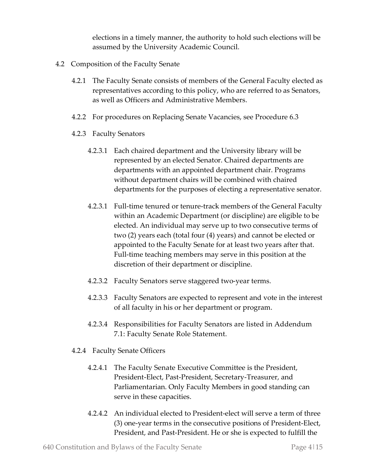elections in a timely manner, the authority to hold such elections will be assumed by the University Academic Council.

- 4.2 Composition of the Faculty Senate
	- 4.2.1 The Faculty Senate consists of members of the General Faculty elected as representatives according to this policy, who are referred to as Senators, as well as Officers and Administrative Members.
	- 4.2.2 For procedures on Replacing Senate Vacancies, see Procedure 6.3
	- 4.2.3 Faculty Senators
		- 4.2.3.1 Each chaired department and the University library will be represented by an elected Senator. Chaired departments are departments with an appointed department chair. Programs without department chairs will be combined with chaired departments for the purposes of electing a representative senator.
		- 4.2.3.1 Full-time tenured or tenure-track members of the General Faculty within an Academic Department (or discipline) are eligible to be elected. An individual may serve up to two consecutive terms of two (2) years each (total four (4) years) and cannot be elected or appointed to the Faculty Senate for at least two years after that. Full-time teaching members may serve in this position at the discretion of their department or discipline.
		- 4.2.3.2 Faculty Senators serve staggered two-year terms.
		- 4.2.3.3 Faculty Senators are expected to represent and vote in the interest of all faculty in his or her department or program.
		- 4.2.3.4 Responsibilities for Faculty Senators are listed in Addendum 7.1: Faculty Senate Role Statement.
	- 4.2.4 Faculty Senate Officers
		- 4.2.4.1 The Faculty Senate Executive Committee is the President, President-Elect, Past-President, Secretary-Treasurer, and Parliamentarian. Only Faculty Members in good standing can serve in these capacities.
		- 4.2.4.2 An individual elected to President-elect will serve a term of three (3) one-year terms in the consecutive positions of President-Elect, President, and Past-President. He or she is expected to fulfill the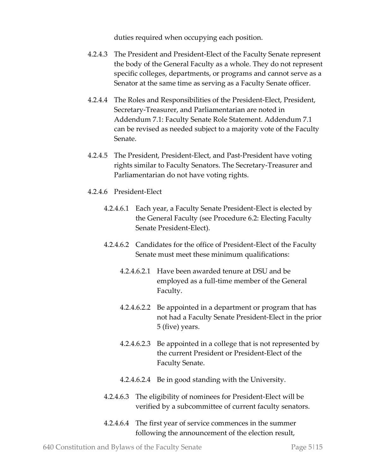duties required when occupying each position.

- 4.2.4.3 The President and President-Elect of the Faculty Senate represent the body of the General Faculty as a whole. They do not represent specific colleges, departments, or programs and cannot serve as a Senator at the same time as serving as a Faculty Senate officer.
- 4.2.4.4 The Roles and Responsibilities of the President-Elect, President, Secretary-Treasurer, and Parliamentarian are noted in Addendum 7.1: Faculty Senate Role Statement. Addendum 7.1 can be revised as needed subject to a majority vote of the Faculty Senate.
- 4.2.4.5 The President, President-Elect, and Past-President have voting rights similar to Faculty Senators. The Secretary-Treasurer and Parliamentarian do not have voting rights.
- 4.2.4.6 President-Elect
	- 4.2.4.6.1 Each year, a Faculty Senate President-Elect is elected by the General Faculty (see Procedure 6.2: Electing Faculty Senate President-Elect).
	- 4.2.4.6.2 Candidates for the office of President-Elect of the Faculty Senate must meet these minimum qualifications:
		- 4.2.4.6.2.1 Have been awarded tenure at DSU and be employed as a full-time member of the General Faculty.
		- 4.2.4.6.2.2 Be appointed in a department or program that has not had a Faculty Senate President-Elect in the prior 5 (five) years.
		- 4.2.4.6.2.3 Be appointed in a college that is not represented by the current President or President-Elect of the Faculty Senate.
		- 4.2.4.6.2.4 Be in good standing with the University.
	- 4.2.4.6.3 The eligibility of nominees for President-Elect will be verified by a subcommittee of current faculty senators.
	- 4.2.4.6.4 The first year of service commences in the summer following the announcement of the election result,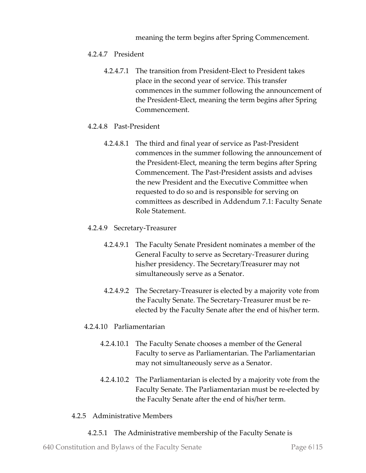meaning the term begins after Spring Commencement.

#### 4.2.4.7 President

4.2.4.7.1 The transition from President-Elect to President takes place in the second year of service. This transfer commences in the summer following the announcement of the President-Elect, meaning the term begins after Spring Commencement.

#### 4.2.4.8 Past-President

4.2.4.8.1 The third and final year of service as Past-President commences in the summer following the announcement of the President-Elect, meaning the term begins after Spring Commencement. The Past-President assists and advises the new President and the Executive Committee when requested to do so and is responsible for serving on committees as described in Addendum 7.1: Faculty Senate Role Statement.

#### 4.2.4.9 Secretary-Treasurer

- 4.2.4.9.1 The Faculty Senate President nominates a member of the General Faculty to serve as Secretary-Treasurer during his/her presidency. The Secretary/Treasurer may not simultaneously serve as a Senator.
- 4.2.4.9.2 The Secretary-Treasurer is elected by a majority vote from the Faculty Senate. The Secretary-Treasurer must be reelected by the Faculty Senate after the end of his/her term.

#### 4.2.4.10 Parliamentarian

- 4.2.4.10.1 The Faculty Senate chooses a member of the General Faculty to serve as Parliamentarian. The Parliamentarian may not simultaneously serve as a Senator.
- 4.2.4.10.2 The Parliamentarian is elected by a majority vote from the Faculty Senate. The Parliamentarian must be re-elected by the Faculty Senate after the end of his/her term.

#### 4.2.5 Administrative Members

4.2.5.1 The Administrative membership of the Faculty Senate is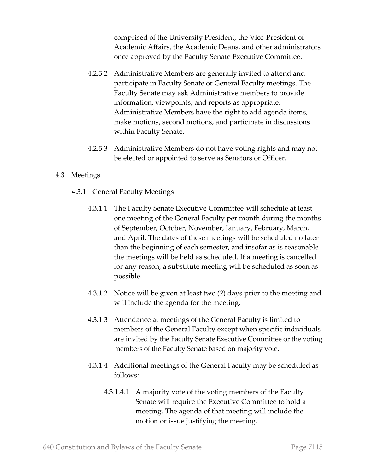comprised of the University President, the Vice-President of Academic Affairs, the Academic Deans, and other administrators once approved by the Faculty Senate Executive Committee.

- 4.2.5.2 Administrative Members are generally invited to attend and participate in Faculty Senate or General Faculty meetings. The Faculty Senate may ask Administrative members to provide information, viewpoints, and reports as appropriate. Administrative Members have the right to add agenda items, make motions, second motions, and participate in discussions within Faculty Senate.
- 4.2.5.3 Administrative Members do not have voting rights and may not be elected or appointed to serve as Senators or Officer.

#### 4.3 Meetings

- 4.3.1 General Faculty Meetings
	- 4.3.1.1 The Faculty Senate Executive Committee will schedule at least one meeting of the General Faculty per month during the months of September, October, November, January, February, March, and April. The dates of these meetings will be scheduled no later than the beginning of each semester, and insofar as is reasonable the meetings will be held as scheduled. If a meeting is cancelled for any reason, a substitute meeting will be scheduled as soon as possible.
	- 4.3.1.2 Notice will be given at least two (2) days prior to the meeting and will include the agenda for the meeting.
	- 4.3.1.3 Attendance at meetings of the General Faculty is limited to members of the General Faculty except when specific individuals are invited by the Faculty Senate Executive Committee or the voting members of the Faculty Senate based on majority vote.
	- 4.3.1.4 Additional meetings of the General Faculty may be scheduled as follows:
		- 4.3.1.4.1 A majority vote of the voting members of the Faculty Senate will require the Executive Committee to hold a meeting. The agenda of that meeting will include the motion or issue justifying the meeting.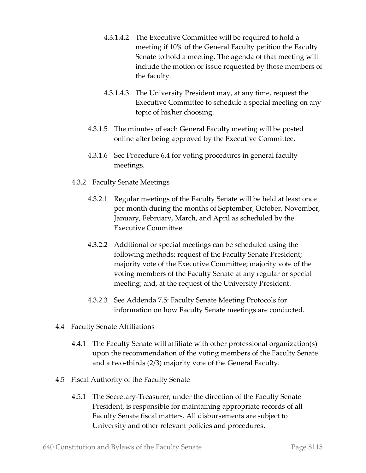- 4.3.1.4.2 The Executive Committee will be required to hold a meeting if 10% of the General Faculty petition the Faculty Senate to hold a meeting. The agenda of that meeting will include the motion or issue requested by those members of the faculty.
- 4.3.1.4.3 The University President may, at any time, request the Executive Committee to schedule a special meeting on any topic of his/her choosing.
- 4.3.1.5 The minutes of each General Faculty meeting will be posted online after being approved by the Executive Committee.
- 4.3.1.6 See Procedure 6.4 for voting procedures in general faculty meetings.
- 4.3.2 Faculty Senate Meetings
	- 4.3.2.1 Regular meetings of the Faculty Senate will be held at least once per month during the months of September, October, November, January, February, March, and April as scheduled by the Executive Committee.
	- 4.3.2.2 Additional or special meetings can be scheduled using the following methods: request of the Faculty Senate President; majority vote of the Executive Committee; majority vote of the voting members of the Faculty Senate at any regular or special meeting; and, at the request of the University President.
	- 4.3.2.3 See Addenda 7.5: Faculty Senate Meeting Protocols for information on how Faculty Senate meetings are conducted.
- 4.4 Faculty Senate Affiliations
	- 4.4.1 The Faculty Senate will affiliate with other professional organization(s) upon the recommendation of the voting members of the Faculty Senate and a two-thirds (2/3) majority vote of the General Faculty.
- 4.5 Fiscal Authority of the Faculty Senate
	- 4.5.1 The Secretary-Treasurer, under the direction of the Faculty Senate President, is responsible for maintaining appropriate records of all Faculty Senate fiscal matters. All disbursements are subject to University and other relevant policies and procedures.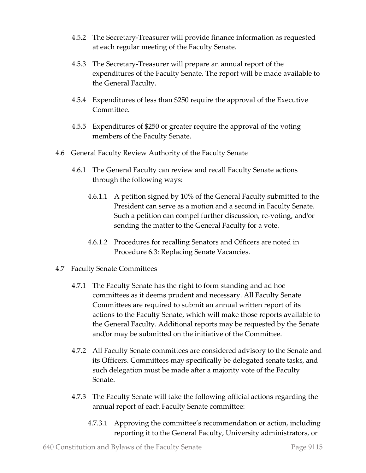- 4.5.2 The Secretary-Treasurer will provide finance information as requested at each regular meeting of the Faculty Senate.
- 4.5.3 The Secretary-Treasurer will prepare an annual report of the expenditures of the Faculty Senate. The report will be made available to the General Faculty.
- 4.5.4 Expenditures of less than \$250 require the approval of the Executive Committee.
- 4.5.5 Expenditures of \$250 or greater require the approval of the voting members of the Faculty Senate.
- 4.6 General Faculty Review Authority of the Faculty Senate
	- 4.6.1 The General Faculty can review and recall Faculty Senate actions through the following ways:
		- 4.6.1.1 A petition signed by 10% of the General Faculty submitted to the President can serve as a motion and a second in Faculty Senate. Such a petition can compel further discussion, re-voting, and/or sending the matter to the General Faculty for a vote.
		- 4.6.1.2 Procedures for recalling Senators and Officers are noted in Procedure 6.3: Replacing Senate Vacancies.
- 4.7 Faculty Senate Committees
	- 4.7.1 The Faculty Senate has the right to form standing and ad hoc committees as it deems prudent and necessary. All Faculty Senate Committees are required to submit an annual written report of its actions to the Faculty Senate, which will make those reports available to the General Faculty. Additional reports may be requested by the Senate and/or may be submitted on the initiative of the Committee.
	- 4.7.2 All Faculty Senate committees are considered advisory to the Senate and its Officers. Committees may specifically be delegated senate tasks, and such delegation must be made after a majority vote of the Faculty Senate.
	- 4.7.3 The Faculty Senate will take the following official actions regarding the annual report of each Faculty Senate committee:
		- 4.7.3.1 Approving the committee's recommendation or action, including reporting it to the General Faculty, University administrators, or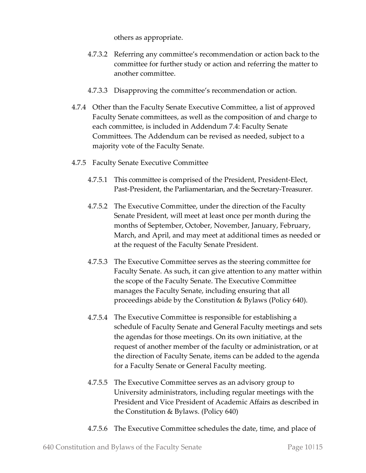others as appropriate.

- 4.7.3.2 Referring any committee's recommendation or action back to the committee for further study or action and referring the matter to another committee.
- 4.7.3.3 Disapproving the committee's recommendation or action.
- 4.7.4 Other than the Faculty Senate Executive Committee, a list of approved Faculty Senate committees, as well as the composition of and charge to each committee, is included in Addendum 7.4: Faculty Senate Committees. The Addendum can be revised as needed, subject to a majority vote of the Faculty Senate.
- 4.7.5 Faculty Senate Executive Committee
	- 4.7.5.1 This committee is comprised of the President, President-Elect, Past-President, the Parliamentarian, and the Secretary-Treasurer.
	- 4.7.5.2 The Executive Committee, under the direction of the Faculty Senate President, will meet at least once per month during the months of September, October, November, January, February, March, and April, and may meet at additional times as needed or at the request of the Faculty Senate President.
	- 4.7.5.3 The Executive Committee serves as the steering committee for Faculty Senate. As such, it can give attention to any matter within the scope of the Faculty Senate. The Executive Committee manages the Faculty Senate, including ensuring that all proceedings abide by the Constitution & Bylaws (Policy 640).
	- 4.7.5.4 The Executive Committee is responsible for establishing a schedule of Faculty Senate and General Faculty meetings and sets the agendas for those meetings. On its own initiative, at the request of another member of the faculty or administration, or at the direction of Faculty Senate, items can be added to the agenda for a Faculty Senate or General Faculty meeting.
	- 4.7.5.5 The Executive Committee serves as an advisory group to University administrators, including regular meetings with the President and Vice President of Academic Affairs as described in the Constitution & Bylaws. (Policy 640)
	- 4.7.5.6 The Executive Committee schedules the date, time, and place of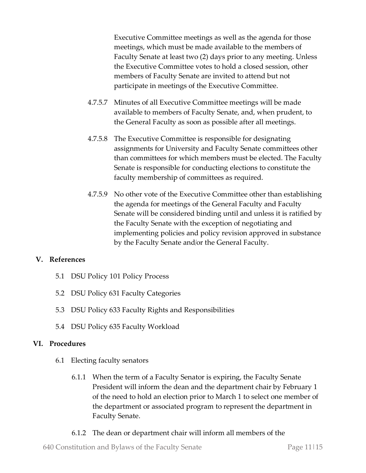Executive Committee meetings as well as the agenda for those meetings, which must be made available to the members of Faculty Senate at least two (2) days prior to any meeting. Unless the Executive Committee votes to hold a closed session, other members of Faculty Senate are invited to attend but not participate in meetings of the Executive Committee.

- 4.7.5.7 Minutes of all Executive Committee meetings will be made available to members of Faculty Senate, and, when prudent, to the General Faculty as soon as possible after all meetings.
- 4.7.5.8 The Executive Committee is responsible for designating assignments for University and Faculty Senate committees other than committees for which members must be elected. The Faculty Senate is responsible for conducting elections to constitute the faculty membership of committees as required.
- 4.7.5.9 No other vote of the Executive Committee other than establishing the agenda for meetings of the General Faculty and Faculty Senate will be considered binding until and unless it is ratified by the Faculty Senate with the exception of negotiating and implementing policies and policy revision approved in substance by the Faculty Senate and/or the General Faculty.

#### **V. References**

- 5.1 DSU Policy 101 Policy Process
- 5.2 DSU Policy 631 Faculty Categories
- 5.3 DSU Policy 633 Faculty Rights and Responsibilities
- 5.4 DSU Policy 635 Faculty Workload

#### **VI. Procedures**

- 6.1 Electing faculty senators
	- 6.1.1 When the term of a Faculty Senator is expiring, the Faculty Senate President will inform the dean and the department chair by February 1 of the need to hold an election prior to March 1 to select one member of the department or associated program to represent the department in Faculty Senate.
	- 6.1.2 The dean or department chair will inform all members of the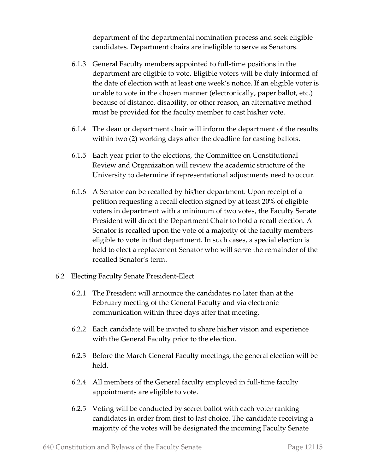department of the departmental nomination process and seek eligible candidates. Department chairs are ineligible to serve as Senators.

- 6.1.3 General Faculty members appointed to full-time positions in the department are eligible to vote. Eligible voters will be duly informed of the date of election with at least one week's notice. If an eligible voter is unable to vote in the chosen manner (electronically, paper ballot, etc.) because of distance, disability, or other reason, an alternative method must be provided for the faculty member to cast his/her vote.
- 6.1.4 The dean or department chair will inform the department of the results within two (2) working days after the deadline for casting ballots.
- 6.1.5 Each year prior to the elections, the Committee on Constitutional Review and Organization will review the academic structure of the University to determine if representational adjustments need to occur.
- 6.1.6 A Senator can be recalled by his/her department. Upon receipt of a petition requesting a recall election signed by at least 20% of eligible voters in department with a minimum of two votes, the Faculty Senate President will direct the Department Chair to hold a recall election. A Senator is recalled upon the vote of a majority of the faculty members eligible to vote in that department. In such cases, a special election is held to elect a replacement Senator who will serve the remainder of the recalled Senator's term.
- 6.2 Electing Faculty Senate President-Elect
	- 6.2.1 The President will announce the candidates no later than at the February meeting of the General Faculty and via electronic communication within three days after that meeting.
	- 6.2.2 Each candidate will be invited to share his/her vision and experience with the General Faculty prior to the election.
	- 6.2.3 Before the March General Faculty meetings, the general election will be held.
	- 6.2.4 All members of the General faculty employed in full-time faculty appointments are eligible to vote.
	- 6.2.5 Voting will be conducted by secret ballot with each voter ranking candidates in order from first to last choice. The candidate receiving a majority of the votes will be designated the incoming Faculty Senate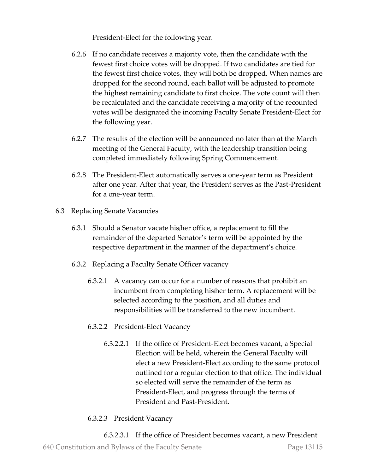President-Elect for the following year.

- 6.2.6 If no candidate receives a majority vote, then the candidate with the fewest first choice votes will be dropped. If two candidates are tied for the fewest first choice votes, they will both be dropped. When names are dropped for the second round, each ballot will be adjusted to promote the highest remaining candidate to first choice. The vote count will then be recalculated and the candidate receiving a majority of the recounted votes will be designated the incoming Faculty Senate President-Elect for the following year.
- 6.2.7 The results of the election will be announced no later than at the March meeting of the General Faculty, with the leadership transition being completed immediately following Spring Commencement.
- 6.2.8 The President-Elect automatically serves a one-year term as President after one year. After that year, the President serves as the Past-President for a one-year term.
- 6.3 Replacing Senate Vacancies
	- 6.3.1 Should a Senator vacate his/her office, a replacement to fill the remainder of the departed Senator's term will be appointed by the respective department in the manner of the department's choice.
	- 6.3.2 Replacing a Faculty Senate Officer vacancy
		- 6.3.2.1 A vacancy can occur for a number of reasons that prohibit an incumbent from completing his/her term. A replacement will be selected according to the position, and all duties and responsibilities will be transferred to the new incumbent.
		- 6.3.2.2 President-Elect Vacancy
			- 6.3.2.2.1 If the office of President-Elect becomes vacant, a Special Election will be held, wherein the General Faculty will elect a new President-Elect according to the same protocol outlined for a regular election to that office. The individual so elected will serve the remainder of the term as President-Elect, and progress through the terms of President and Past-President.
		- 6.3.2.3 President Vacancy

640 Constitution and Bylaws of the Faculty Senate Page 13|15 6.3.2.3.1 If the office of President becomes vacant, a new President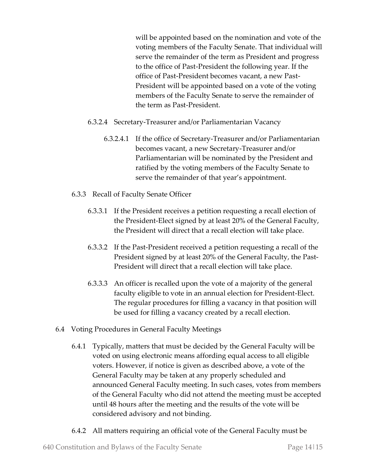will be appointed based on the nomination and vote of the voting members of the Faculty Senate. That individual will serve the remainder of the term as President and progress to the office of Past-President the following year. If the office of Past-President becomes vacant, a new Past-President will be appointed based on a vote of the voting members of the Faculty Senate to serve the remainder of the term as Past-President.

- 6.3.2.4 Secretary-Treasurer and/or Parliamentarian Vacancy
	- 6.3.2.4.1 If the office of Secretary-Treasurer and/or Parliamentarian becomes vacant, a new Secretary-Treasurer and/or Parliamentarian will be nominated by the President and ratified by the voting members of the Faculty Senate to serve the remainder of that year's appointment.
- 6.3.3 Recall of Faculty Senate Officer
	- 6.3.3.1 If the President receives a petition requesting a recall election of the President-Elect signed by at least 20% of the General Faculty, the President will direct that a recall election will take place.
	- 6.3.3.2 If the Past-President received a petition requesting a recall of the President signed by at least 20% of the General Faculty, the Past-President will direct that a recall election will take place.
	- 6.3.3.3 An officer is recalled upon the vote of a majority of the general faculty eligible to vote in an annual election for President-Elect. The regular procedures for filling a vacancy in that position will be used for filling a vacancy created by a recall election.
- 6.4 Voting Procedures in General Faculty Meetings
	- 6.4.1 Typically, matters that must be decided by the General Faculty will be voted on using electronic means affording equal access to all eligible voters. However, if notice is given as described above, a vote of the General Faculty may be taken at any properly scheduled and announced General Faculty meeting. In such cases, votes from members of the General Faculty who did not attend the meeting must be accepted until 48 hours after the meeting and the results of the vote will be considered advisory and not binding.
	- 6.4.2 All matters requiring an official vote of the General Faculty must be